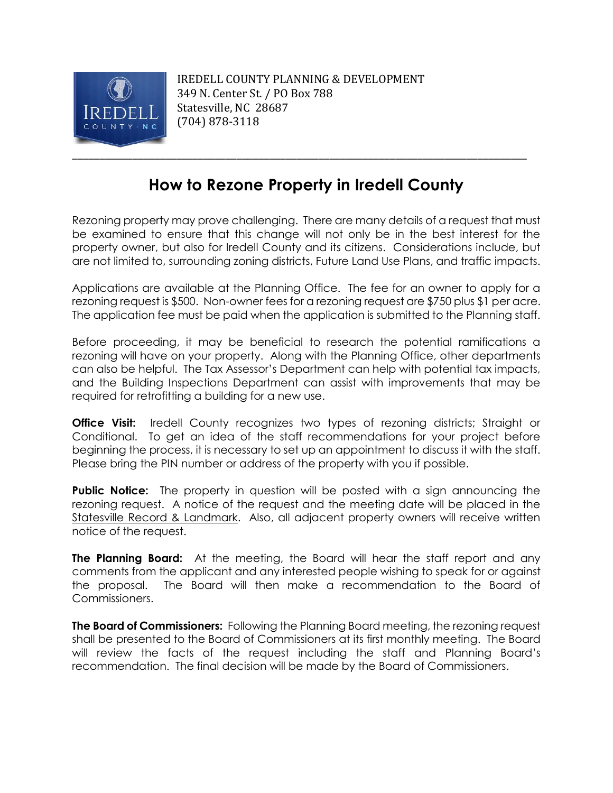

IREDELL COUNTY PLANNING & DEVELOPMENT 349 N. Center St. / PO Box 788 Statesville, NC 28687 (704) 878-3118

\_\_\_\_\_\_\_\_\_\_\_\_\_\_\_\_\_\_\_\_\_\_\_\_\_\_\_\_\_\_\_\_\_\_\_\_\_\_\_\_\_\_\_\_\_\_\_\_\_\_\_\_\_\_\_\_\_\_\_\_\_\_\_\_\_\_\_\_\_\_\_\_\_\_\_\_\_\_\_\_\_\_\_

## **How to Rezone Property in Iredell County**

Rezoning property may prove challenging. There are many details of a request that must be examined to ensure that this change will not only be in the best interest for the property owner, but also for Iredell County and its citizens. Considerations include, but are not limited to, surrounding zoning districts, Future Land Use Plans, and traffic impacts.

Applications are available at the Planning Office. The fee for an owner to apply for a rezoning request is \$500. Non-owner fees for a rezoning request are \$750 plus \$1 per acre. The application fee must be paid when the application is submitted to the Planning staff.

Before proceeding, it may be beneficial to research the potential ramifications a rezoning will have on your property. Along with the Planning Office, other departments can also be helpful. The Tax Assessor's Department can help with potential tax impacts, and the Building Inspections Department can assist with improvements that may be required for retrofitting a building for a new use.

**Office Visit:** Iredell County recognizes two types of rezoning districts; Straight or Conditional. To get an idea of the staff recommendations for your project before beginning the process, it is necessary to set up an appointment to discuss it with the staff. Please bring the PIN number or address of the property with you if possible.

**Public Notice:** The property in question will be posted with a sign announcing the rezoning request. A notice of the request and the meeting date will be placed in the Statesville Record & Landmark. Also, all adjacent property owners will receive written notice of the request.

**The Planning Board:** At the meeting, the Board will hear the staff report and any comments from the applicant and any interested people wishing to speak for or against the proposal. The Board will then make a recommendation to the Board of Commissioners.

**The Board of Commissioners:** Following the Planning Board meeting, the rezoning request shall be presented to the Board of Commissioners at its first monthly meeting. The Board will review the facts of the request including the staff and Planning Board's recommendation. The final decision will be made by the Board of Commissioners.